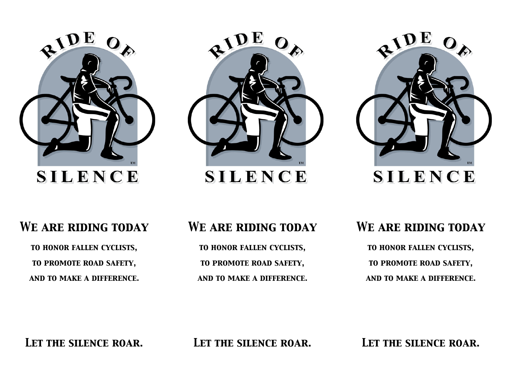





### *We are riding today*

*to honor fallen cyclists, to promote road safety, and to make a difference.*

#### *We are riding today*

*to honor fallen cyclists, to promote road safety, and to make a difference.*

#### *We are riding today*

*to honor fallen cyclists, to promote road safety, and to make a difference.*

*Let the silence roar.*

*Let the silence roar.*

*Let the silence roar.*